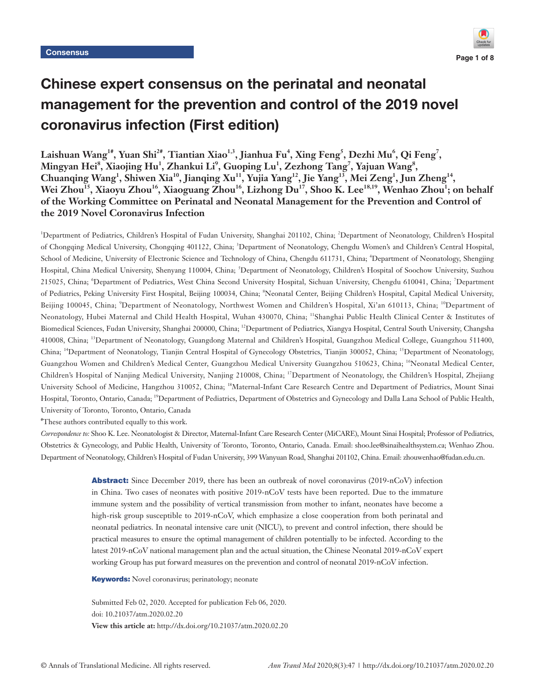

# Chinese expert consensus on the perinatal and neonatal management for the prevention and control of the 2019 novel coronavirus infection (First edition)

 $\mu^4$ ,  $\mu^5$ ,  $\mu^6$ ,  $\mu^7$ ,  $\mu^8$ ,  $\mu^4$ ,  $\mu^7$ ,  $\mu^7$ ,  $\mu^8$ ,  $\mu^7$ ,  $\mu^8$ ,  $\mu^7$ ,  $\mu^8$ ,  $\mu^7$ ,  $\mu^8$ ,  $\mu^7$ ,  $\mu^8$ ,  $\mu^7$ ,  $\mu^8$ ,  $\mu^7$ ,  $\mu^8$ ,  $\mu^8$ ,  $\mu^9$ ,  $\mu^9$ ,  $\mu^8$ ,  $\mu^9$ ,  $\mu^9$ ,  $\mu^9$  $\mathbf{M}$ ingyan Hei $^{\mathrm{s}},$  Xiaojing Hu $^{\mathrm{l}},$  Zhankui Li $^{\mathrm{s}},$  Guoping Lu $^{\mathrm{l}},$  Zezhong Tang $^{\mathrm{z}},$  Yajuan Wang $^{\mathrm{s}},$ Chuanqing Wang<sup>1</sup>, Shiwen Xia<sup>10</sup>, Jianqing Xu<sup>11</sup>, Yujia Yang<sup>12</sup>, Jie Yang<sup>13</sup>, Mei Zeng<sup>1</sup>, Jun Zheng<sup>14</sup>, Wei Zhou<sup>15</sup>, Xiaoyu Zhou<sup>16</sup>, Xiaoguang Zhou<sup>16</sup>, Lizhong Du<sup>17</sup>, Shoo K. Lee<sup>18,19</sup>, Wenhao Zhou<sup>1</sup>; on behalf **of the Working Committee on Perinatal and Neonatal Management for the Prevention and Control of the 2019 Novel Coronavirus Infection** 

<sup>1</sup>Department of Pediatrics, Children's Hospital of Fudan University, Shanghai 201102, China; <sup>2</sup>Department of Neonatology, Children's Hospital of Chongqing Medical University, Chongqing 401122, China; <sup>3</sup>Department of Neonatology, Chengdu Women's and Children's Central Hospital, School of Medicine, University of Electronic Science and Technology of China, Chengdu 611731, China; <sup>4</sup>Department of Neonatology, Shengjing Hospital, China Medical University, Shenyang 110004, China; <sup>5</sup>Department of Neonatology, Children's Hospital of Soochow University, Suzhou 215025, China; 'Department of Pediatrics, West China Second University Hospital, Sichuan University, Chengdu 610041, China; <sup>7</sup>Department of Pediatrics, Peking University First Hospital, Beijing 100034, China; <sup>8</sup>Neonatal Center, Beijing Children's Hospital, Capital Medical University, Beijing 100045, China; <sup>9</sup>Department of Neonatology, Northwest Women and Children's Hospital, Xi'an 610113, China; <sup>10</sup>Department of Neonatology, Hubei Maternal and Child Health Hospital, Wuhan 430070, China; 11Shanghai Public Health Clinical Center & Institutes of Biomedical Sciences, Fudan University, Shanghai 200000, China; 12Department of Pediatrics, Xiangya Hospital, Central South University, Changsha 410008, China; 13Department of Neonatology, Guangdong Maternal and Children's Hospital, Guangzhou Medical College, Guangzhou 511400, China; <sup>14</sup>Department of Neonatology, Tianjin Central Hospital of Gynecology Obstetrics, Tianjin 300052, China; <sup>15</sup>Department of Neonatology, Guangzhou Women and Children's Medical Center, Guangzhou Medical University Guangzhou 510623, China; <sup>16</sup>Neonatal Medical Center, Children's Hospital of Nanjing Medical University, Nanjing 210008, China; <sup>17</sup>Department of Neonatology, the Children's Hospital, Zhejiang University School of Medicine, Hangzhou 310052, China; 18Maternal-Infant Care Research Centre and Department of Pediatrics, Mount Sinai Hospital, Toronto, Ontario, Canada; <sup>19</sup>Department of Pediatrics, Department of Obstetrics and Gynecology and Dalla Lana School of Public Health, University of Toronto, Toronto, Ontario, Canada

# These authors contributed equally to this work.

*Correspondence to:* Shoo K. Lee. Neonatologist & Director, Maternal-Infant Care Research Center (MiCARE), Mount Sinai Hospital; Professor of Pediatrics, Obstetrics & Gynecology, and Public Health, University of Toronto, Toronto, Ontario, Canada. Email: shoo.lee@sinaihealthsystem.ca; Wenhao Zhou. Department of Neonatology, Children's Hospital of Fudan University, 399 Wanyuan Road, Shanghai 201102, China. Email: zhouwenhao@fudan.edu.cn.

> Abstract: Since December 2019, there has been an outbreak of novel coronavirus (2019-nCoV) infection in China. Two cases of neonates with positive 2019-nCoV tests have been reported. Due to the immature immune system and the possibility of vertical transmission from mother to infant, neonates have become a high-risk group susceptible to 2019-nCoV, which emphasize a close cooperation from both perinatal and neonatal pediatrics. In neonatal intensive care unit (NICU), to prevent and control infection, there should be practical measures to ensure the optimal management of children potentially to be infected. According to the latest 2019-nCoV national management plan and the actual situation, the Chinese Neonatal 2019-nCoV expert working Group has put forward measures on the prevention and control of neonatal 2019-nCoV infection.

**Keywords:** Novel coronavirus; perinatology; neonate

Submitted Feb 02, 2020. Accepted for publication Feb 06, 2020. doi: 10.21037/atm.2020.02.20 **View this article at:** http://dx.doi.org/10.21037/atm.2020.02.20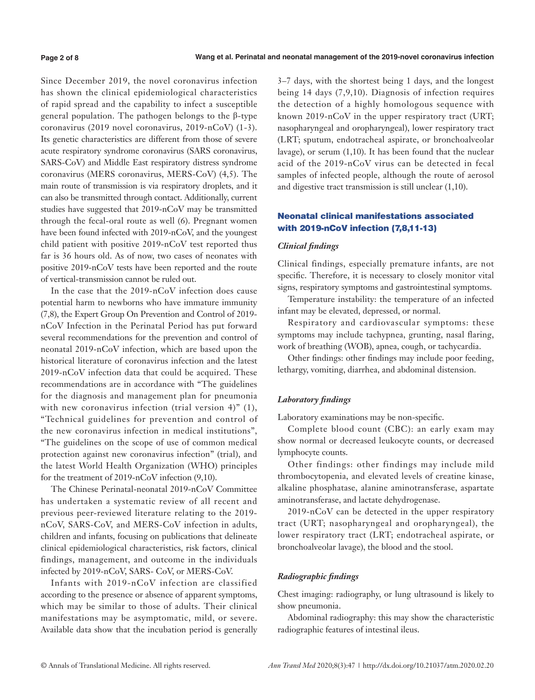Since December 2019, the novel coronavirus infection has shown the clinical epidemiological characteristics of rapid spread and the capability to infect a susceptible general population. The pathogen belongs to the β-type coronavirus (2019 novel coronavirus, 2019-nCoV) (1-3). Its genetic characteristics are different from those of severe acute respiratory syndrome coronavirus (SARS coronavirus, SARS-CoV) and Middle East respiratory distress syndrome coronavirus (MERS coronavirus, MERS-CoV) (4,5). The main route of transmission is via respiratory droplets, and it can also be transmitted through contact. Additionally, current studies have suggested that 2019-nCoV may be transmitted through the fecal-oral route as well (6). Pregnant women have been found infected with 2019-nCoV, and the youngest child patient with positive 2019-nCoV test reported thus far is 36 hours old. As of now, two cases of neonates with positive 2019-nCoV tests have been reported and the route of vertical-transmission cannot be ruled out.

In the case that the 2019-nCoV infection does cause potential harm to newborns who have immature immunity (7,8), the Expert Group On Prevention and Control of 2019 nCoV Infection in the Perinatal Period has put forward several recommendations for the prevention and control of neonatal 2019-nCoV infection, which are based upon the historical literature of coronavirus infection and the latest 2019-nCoV infection data that could be acquired. These recommendations are in accordance with "The guidelines for the diagnosis and management plan for pneumonia with new coronavirus infection (trial version 4)" (1), "Technical guidelines for prevention and control of the new coronavirus infection in medical institutions", "The guidelines on the scope of use of common medical protection against new coronavirus infection" (trial), and the latest World Health Organization (WHO) principles for the treatment of 2019-nCoV infection (9,10).

The Chinese Perinatal-neonatal 2019-nCoV Committee has undertaken a systematic review of all recent and previous peer-reviewed literature relating to the 2019 nCoV, SARS-CoV, and MERS-CoV infection in adults, children and infants, focusing on publications that delineate clinical epidemiological characteristics, risk factors, clinical findings, management, and outcome in the individuals infected by 2019-nCoV, SARS- CoV, or MERS-CoV.

Infants with 2019-nCoV infection are classified according to the presence or absence of apparent symptoms, which may be similar to those of adults. Their clinical manifestations may be asymptomatic, mild, or severe. Available data show that the incubation period is generally

3–7 days, with the shortest being 1 days, and the longest being 14 days (7,9,10). Diagnosis of infection requires the detection of a highly homologous sequence with known 2019-nCoV in the upper respiratory tract (URT; nasopharyngeal and oropharyngeal), lower respiratory tract (LRT; sputum, endotracheal aspirate, or bronchoalveolar lavage), or serum (1,10). It has been found that the nuclear acid of the 2019-nCoV virus can be detected in fecal samples of infected people, although the route of aerosol and digestive tract transmission is still unclear (1,10).

# Neonatal clinical manifestations associated with 2019-nCoV infection (7,8,11-13)

# *Clinical findings*

Clinical findings, especially premature infants, are not specific. Therefore, it is necessary to closely monitor vital signs, respiratory symptoms and gastrointestinal symptoms.

Temperature instability: the temperature of an infected infant may be elevated, depressed, or normal.

Respiratory and cardiovascular symptoms: these symptoms may include tachypnea, grunting, nasal flaring, work of breathing (WOB), apnea, cough, or tachycardia.

Other findings: other findings may include poor feeding, lethargy, vomiting, diarrhea, and abdominal distension.

# *Laboratory findings*

Laboratory examinations may be non-specific.

Complete blood count (CBC): an early exam may show normal or decreased leukocyte counts, or decreased lymphocyte counts.

Other findings: other findings may include mild thrombocytopenia, and elevated levels of creatine kinase, alkaline phosphatase, alanine aminotransferase, aspartate aminotransferase, and lactate dehydrogenase.

2019-nCoV can be detected in the upper respiratory tract (URT; nasopharyngeal and oropharyngeal), the lower respiratory tract (LRT; endotracheal aspirate, or bronchoalveolar lavage), the blood and the stool.

# *Radiographic findings*

Chest imaging: radiography, or lung ultrasound is likely to show pneumonia.

Abdominal radiography: this may show the characteristic radiographic features of intestinal ileus.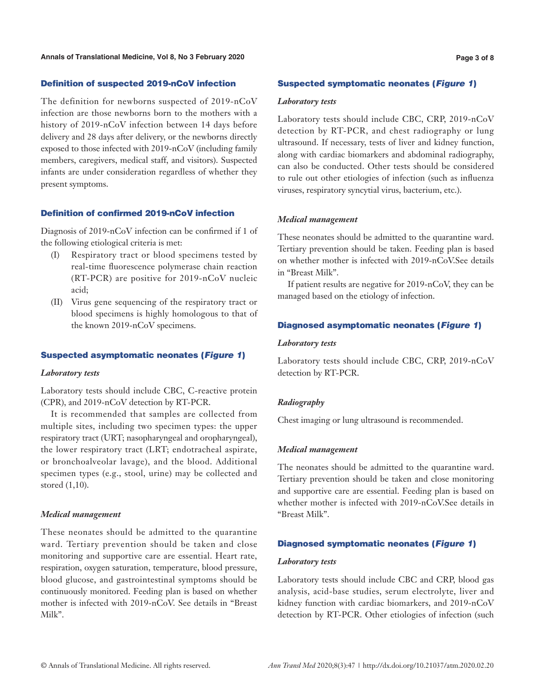## Definition of suspected 2019-nCoV infection

The definition for newborns suspected of 2019-nCoV infection are those newborns born to the mothers with a history of 2019-nCoV infection between 14 days before delivery and 28 days after delivery, or the newborns directly exposed to those infected with 2019-nCoV (including family members, caregivers, medical staff, and visitors). Suspected infants are under consideration regardless of whether they present symptoms.

# Definition of confirmed 2019-nCoV infection

Diagnosis of 2019-nCoV infection can be confirmed if 1 of the following etiological criteria is met:

- (I) Respiratory tract or blood specimens tested by real-time fluorescence polymerase chain reaction (RT-PCR) are positive for 2019-nCoV nucleic acid;
- (II) Virus gene sequencing of the respiratory tract or blood specimens is highly homologous to that of the known 2019-nCoV specimens.

# Suspected asymptomatic neonates (Figure 1)

#### *Laboratory tests*

Laboratory tests should include CBC, C-reactive protein (CPR), and 2019-nCoV detection by RT-PCR.

It is recommended that samples are collected from multiple sites, including two specimen types: the upper respiratory tract (URT; nasopharyngeal and oropharyngeal), the lower respiratory tract (LRT; endotracheal aspirate, or bronchoalveolar lavage), and the blood. Additional specimen types (e.g., stool, urine) may be collected and stored (1,10).

#### *Medical management*

These neonates should be admitted to the quarantine ward. Tertiary prevention should be taken and close monitoring and supportive care are essential. Heart rate, respiration, oxygen saturation, temperature, blood pressure, blood glucose, and gastrointestinal symptoms should be continuously monitored. Feeding plan is based on whether mother is infected with 2019-nCoV. See details in "Breast Milk".

#### Suspected symptomatic neonates (Figure 1)

#### *Laboratory tests*

Laboratory tests should include CBC, CRP, 2019-nCoV detection by RT-PCR, and chest radiography or lung ultrasound. If necessary, tests of liver and kidney function, along with cardiac biomarkers and abdominal radiography, can also be conducted. Other tests should be considered to rule out other etiologies of infection (such as influenza viruses, respiratory syncytial virus, bacterium, etc.).

#### *Medical management*

These neonates should be admitted to the quarantine ward. Tertiary prevention should be taken. Feeding plan is based on whether mother is infected with 2019-nCoV.See details in "Breast Milk".

If patient results are negative for 2019-nCoV, they can be managed based on the etiology of infection.

# Diagnosed asymptomatic neonates (Figure 1)

#### *Laboratory tests*

Laboratory tests should include CBC, CRP, 2019-nCoV detection by RT-PCR.

#### *Radiography*

Chest imaging or lung ultrasound is recommended.

### *Medical management*

The neonates should be admitted to the quarantine ward. Tertiary prevention should be taken and close monitoring and supportive care are essential. Feeding plan is based on whether mother is infected with 2019-nCoV.See details in "Breast Milk".

# Diagnosed symptomatic neonates (Figure 1)

#### *Laboratory tests*

Laboratory tests should include CBC and CRP, blood gas analysis, acid-base studies, serum electrolyte, liver and kidney function with cardiac biomarkers, and 2019-nCoV detection by RT-PCR. Other etiologies of infection (such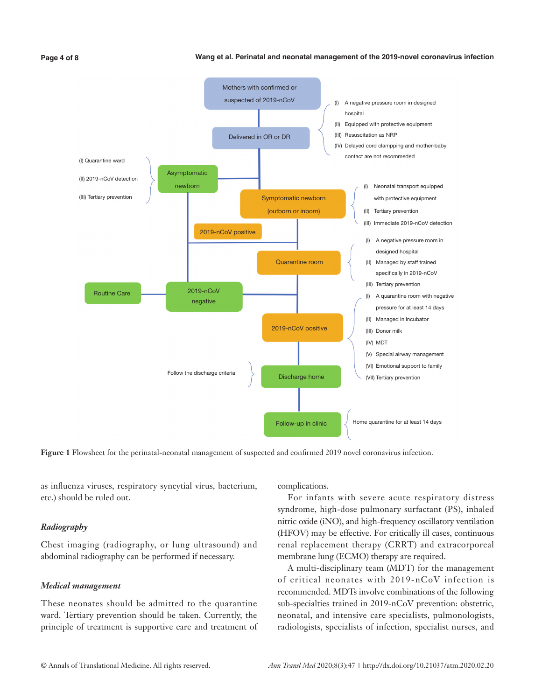#### **Wang et al. Perinatal and neonatal management of the 2019-novel coronavirus infection**



**Figure 1** Flowsheet for the perinatal-neonatal management of suspected and confirmed 2019 novel coronavirus infection.

as influenza viruses, respiratory syncytial virus, bacterium, etc.) should be ruled out.

#### *Radiography*

Chest imaging (radiography, or lung ultrasound) and abdominal radiography can be performed if necessary.

## *Medical management*

These neonates should be admitted to the quarantine ward. Tertiary prevention should be taken. Currently, the principle of treatment is supportive care and treatment of complications.

For infants with severe acute respiratory distress syndrome, high-dose pulmonary surfactant (PS), inhaled nitric oxide (iNO), and high-frequency oscillatory ventilation (HFOV) may be effective. For critically ill cases, continuous renal replacement therapy (CRRT) and extracorporeal membrane lung (ECMO) therapy are required.

A multi-disciplinary team (MDT) for the management of critical neonates with 2019-nCoV infection is recommended. MDTs involve combinations of the following sub-specialties trained in 2019-nCoV prevention: obstetric, neonatal, and intensive care specialists, pulmonologists, radiologists, specialists of infection, specialist nurses, and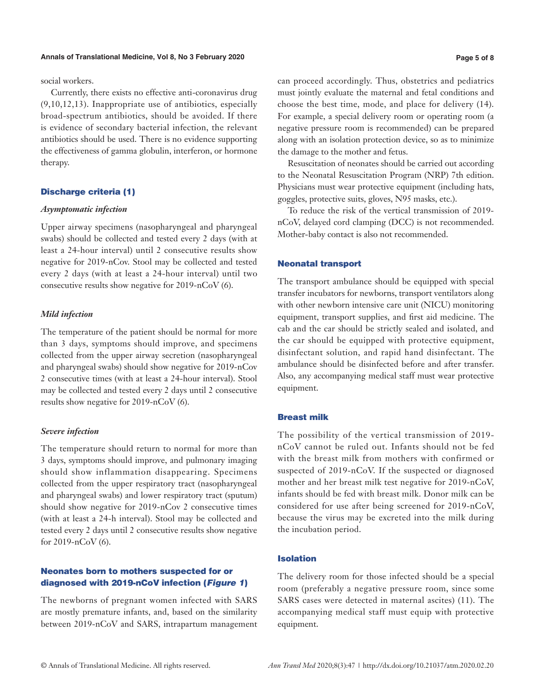#### **Annals of Translational Medicine, Vol 8, No 3 February 2020 Page 5 of 8**

social workers.

Currently, there exists no effective anti-coronavirus drug (9,10,12,13). Inappropriate use of antibiotics, especially broad-spectrum antibiotics, should be avoided. If there is evidence of secondary bacterial infection, the relevant antibiotics should be used. There is no evidence supporting the effectiveness of gamma globulin, interferon, or hormone therapy.

# Discharge criteria (1)

# *Asymptomatic infection*

Upper airway specimens (nasopharyngeal and pharyngeal swabs) should be collected and tested every 2 days (with at least a 24-hour interval) until 2 consecutive results show negative for 2019-nCov. Stool may be collected and tested every 2 days (with at least a 24-hour interval) until two consecutive results show negative for 2019-nCoV (6).

## *Mild infection*

The temperature of the patient should be normal for more than 3 days, symptoms should improve, and specimens collected from the upper airway secretion (nasopharyngeal and pharyngeal swabs) should show negative for 2019-nCov 2 consecutive times (with at least a 24-hour interval). Stool may be collected and tested every 2 days until 2 consecutive results show negative for 2019-nCoV (6).

# *Severe infection*

The temperature should return to normal for more than 3 days, symptoms should improve, and pulmonary imaging should show inflammation disappearing. Specimens collected from the upper respiratory tract (nasopharyngeal and pharyngeal swabs) and lower respiratory tract (sputum) should show negative for 2019-nCov 2 consecutive times (with at least a 24-h interval). Stool may be collected and tested every 2 days until 2 consecutive results show negative for 2019-nCoV (6).

# Neonates born to mothers suspected for or diagnosed with 2019-nCoV infection (Figure 1)

The newborns of pregnant women infected with SARS are mostly premature infants, and, based on the similarity between 2019-nCoV and SARS, intrapartum management can proceed accordingly. Thus, obstetrics and pediatrics must jointly evaluate the maternal and fetal conditions and choose the best time, mode, and place for delivery (14). For example, a special delivery room or operating room (a negative pressure room is recommended) can be prepared along with an isolation protection device, so as to minimize the damage to the mother and fetus.

Resuscitation of neonates should be carried out according to the Neonatal Resuscitation Program (NRP) 7th edition. Physicians must wear protective equipment (including hats, goggles, protective suits, gloves, N95 masks, etc.).

To reduce the risk of the vertical transmission of 2019 nCoV, delayed cord clamping (DCC) is not recommended. Mother-baby contact is also not recommended.

#### Neonatal transport

The transport ambulance should be equipped with special transfer incubators for newborns, transport ventilators along with other newborn intensive care unit (NICU) monitoring equipment, transport supplies, and first aid medicine. The cab and the car should be strictly sealed and isolated, and the car should be equipped with protective equipment, disinfectant solution, and rapid hand disinfectant. The ambulance should be disinfected before and after transfer. Also, any accompanying medical staff must wear protective equipment.

#### Breast milk

The possibility of the vertical transmission of 2019 nCoV cannot be ruled out. Infants should not be fed with the breast milk from mothers with confirmed or suspected of 2019-nCoV. If the suspected or diagnosed mother and her breast milk test negative for 2019-nCoV, infants should be fed with breast milk. Donor milk can be considered for use after being screened for 2019-nCoV, because the virus may be excreted into the milk during the incubation period.

### Isolation

The delivery room for those infected should be a special room (preferably a negative pressure room, since some SARS cases were detected in maternal ascites) (11). The accompanying medical staff must equip with protective equipment.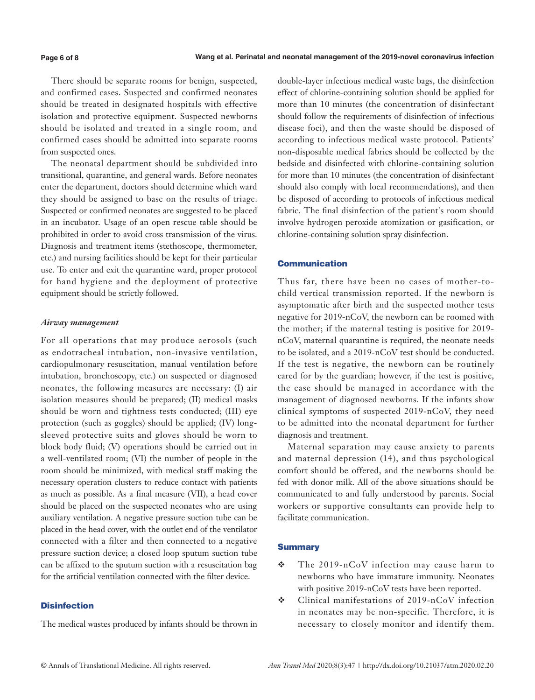There should be separate rooms for benign, suspected, and confirmed cases. Suspected and confirmed neonates should be treated in designated hospitals with effective isolation and protective equipment. Suspected newborns should be isolated and treated in a single room, and confirmed cases should be admitted into separate rooms from suspected ones.

The neonatal department should be subdivided into transitional, quarantine, and general wards. Before neonates enter the department, doctors should determine which ward they should be assigned to base on the results of triage. Suspected or confirmed neonates are suggested to be placed in an incubator. Usage of an open rescue table should be prohibited in order to avoid cross transmission of the virus. Diagnosis and treatment items (stethoscope, thermometer, etc.) and nursing facilities should be kept for their particular use. To enter and exit the quarantine ward, proper protocol for hand hygiene and the deployment of protective equipment should be strictly followed.

## *Airway management*

For all operations that may produce aerosols (such as endotracheal intubation, non-invasive ventilation, cardiopulmonary resuscitation, manual ventilation before intubation, bronchoscopy, etc.) on suspected or diagnosed neonates, the following measures are necessary: (I) air isolation measures should be prepared; (II) medical masks should be worn and tightness tests conducted; (III) eye protection (such as goggles) should be applied; (IV) longsleeved protective suits and gloves should be worn to block body fluid; (V) operations should be carried out in a well-ventilated room; (VI) the number of people in the room should be minimized, with medical staff making the necessary operation clusters to reduce contact with patients as much as possible. As a final measure (VII), a head cover should be placed on the suspected neonates who are using auxiliary ventilation. A negative pressure suction tube can be placed in the head cover, with the outlet end of the ventilator connected with a filter and then connected to a negative pressure suction device; a closed loop sputum suction tube can be affixed to the sputum suction with a resuscitation bag for the artificial ventilation connected with the filter device.

# **Disinfection**

The medical wastes produced by infants should be thrown in

double-layer infectious medical waste bags, the disinfection effect of chlorine-containing solution should be applied for more than 10 minutes (the concentration of disinfectant should follow the requirements of disinfection of infectious disease foci), and then the waste should be disposed of according to infectious medical waste protocol. Patients' non-disposable medical fabrics should be collected by the bedside and disinfected with chlorine-containing solution for more than 10 minutes (the concentration of disinfectant should also comply with local recommendations), and then be disposed of according to protocols of infectious medical fabric. The final disinfection of the patient's room should involve hydrogen peroxide atomization or gasification, or chlorine-containing solution spray disinfection.

# Communication

Thus far, there have been no cases of mother-tochild vertical transmission reported. If the newborn is asymptomatic after birth and the suspected mother tests negative for 2019-nCoV, the newborn can be roomed with the mother; if the maternal testing is positive for 2019 nCoV, maternal quarantine is required, the neonate needs to be isolated, and a 2019-nCoV test should be conducted. If the test is negative, the newborn can be routinely cared for by the guardian; however, if the test is positive, the case should be managed in accordance with the management of diagnosed newborns. If the infants show clinical symptoms of suspected 2019-nCoV, they need to be admitted into the neonatal department for further diagnosis and treatment.

Maternal separation may cause anxiety to parents and maternal depression (14), and thus psychological comfort should be offered, and the newborns should be fed with donor milk. All of the above situations should be communicated to and fully understood by parents. Social workers or supportive consultants can provide help to facilitate communication.

# **Summary**

- The 2019-nCoV infection may cause harm to newborns who have immature immunity. Neonates with positive 2019-nCoV tests have been reported.
- Clinical manifestations of 2019-nCoV infection in neonates may be non-specific. Therefore, it is necessary to closely monitor and identify them.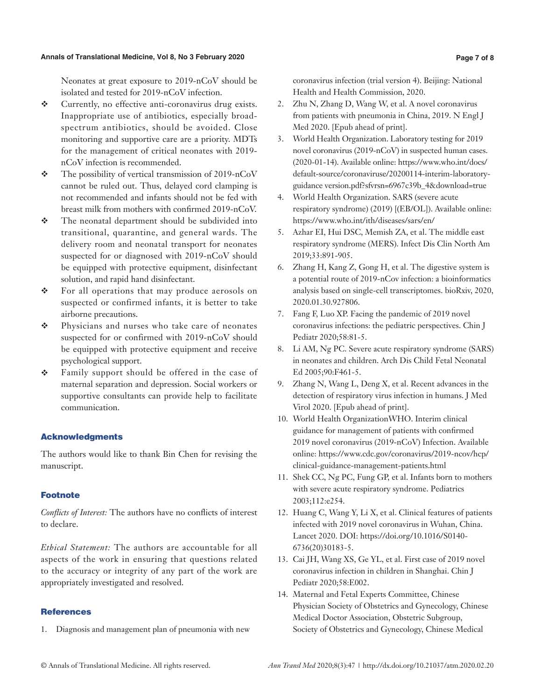#### **Annals of Translational Medicine, Vol 8, No 3 February 2020 Page 7 of 8**

Neonates at great exposure to 2019-nCoV should be isolated and tested for 2019-nCoV infection.

- Currently, no effective anti-coronavirus drug exists. Inappropriate use of antibiotics, especially broadspectrum antibiotics, should be avoided. Close monitoring and supportive care are a priority. MDTs for the management of critical neonates with 2019 nCoV infection is recommended.
- The possibility of vertical transmission of 2019-nCoV cannot be ruled out. Thus, delayed cord clamping is not recommended and infants should not be fed with breast milk from mothers with confirmed 2019-nCoV.
- $\div$  The neonatal department should be subdivided into transitional, quarantine, and general wards. The delivery room and neonatal transport for neonates suspected for or diagnosed with 2019-nCoV should be equipped with protective equipment, disinfectant solution, and rapid hand disinfectant.
- For all operations that may produce aerosols on suspected or confirmed infants, it is better to take airborne precautions.
- Physicians and nurses who take care of neonates suspected for or confirmed with 2019-nCoV should be equipped with protective equipment and receive psychological support.
- Family support should be offered in the case of maternal separation and depression. Social workers or supportive consultants can provide help to facilitate communication.

## Acknowledgments

The authors would like to thank Bin Chen for revising the manuscript.

# Footnote

*Conflicts of Interest:* The authors have no conflicts of interest to declare.

*Ethical Statement:* The authors are accountable for all aspects of the work in ensuring that questions related to the accuracy or integrity of any part of the work are appropriately investigated and resolved.

## **References**

1. Diagnosis and management plan of pneumonia with new

coronavirus infection (trial version 4). Beijing: National Health and Health Commission, 2020.

- 2. Zhu N, Zhang D, Wang W, et al. A novel coronavirus from patients with pneumonia in China, 2019. N Engl J Med 2020. [Epub ahead of print].
- 3. World Health Organization. Laboratory testing for 2019 novel coronavirus (2019-nCoV) in suspected human cases. (2020-01-14). Available online: https://www.who.int/docs/ default-source/coronaviruse/20200114-interim-laboratoryguidance version.pdf?sfvrsn=6967c39b\_4&download=true
- 4. World Health Organization. SARS (severe acute respiratory syndrome) (2019) [(EB/OL]). Available online: https://www.who.int/ith/diseases/sars/en/
- 5. Azhar EI, Hui DSC, Memish ZA, et al. The middle east respiratory syndrome (MERS). Infect Dis Clin North Am 2019;33:891-905.
- 6. Zhang H, Kang Z, Gong H, et al. The digestive system is a potential route of 2019-nCov infection: a bioinformatics analysis based on single-cell transcriptomes. bioRxiv, 2020, 2020.01.30.927806.
- 7. Fang F, Luo XP. Facing the pandemic of 2019 novel coronavirus infections: the pediatric perspectives. Chin J Pediatr 2020;58:81-5.
- 8. Li AM, Ng PC. Severe acute respiratory syndrome (SARS) in neonates and children. Arch Dis Child Fetal Neonatal Ed 2005;90:F461-5.
- 9. Zhang N, Wang L, Deng X, et al. Recent advances in the detection of respiratory virus infection in humans. J Med Virol 2020. [Epub ahead of print].
- 10. World Health OrganizationWHO. Interim clinical guidance for management of patients with confirmed 2019 novel coronavirus (2019-nCoV) Infection. Available online: https://www.cdc.gov/coronavirus/2019-ncov/hcp/ clinical-guidance-management-patients.html
- 11. Shek CC, Ng PC, Fung GP, et al. Infants born to mothers with severe acute respiratory syndrome. Pediatrics 2003;112:e254.
- 12. Huang C, Wang Y, Li X, et al. Clinical features of patients infected with 2019 novel coronavirus in Wuhan, China. Lancet 2020. DOI: https://doi.org/10.1016/S0140- 6736(20)30183-5.
- 13. Cai JH, Wang XS, Ge YL, et al. First case of 2019 novel coronavirus infection in children in Shanghai. Chin J Pediatr 2020;58:E002.
- 14. Maternal and Fetal Experts Committee, Chinese Physician Society of Obstetrics and Gynecology, Chinese Medical Doctor Association, Obstetric Subgroup, Society of Obstetrics and Gynecology, Chinese Medical